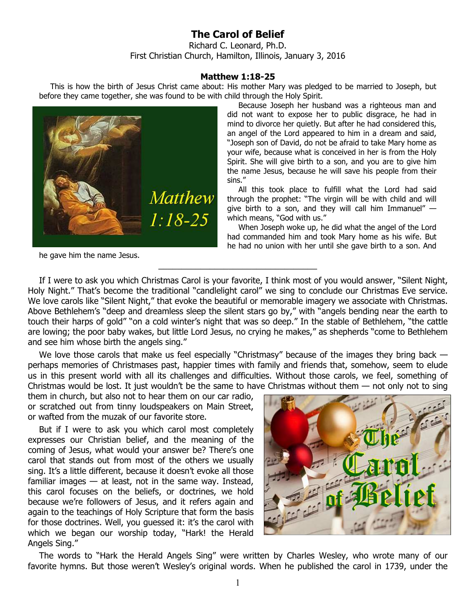## **The Carol of Belief**

Richard C. Leonard, Ph.D. First Christian Church, Hamilton, Illinois, January 3, 2016

## **Matthew 1:18-25**

This is how the birth of Jesus Christ came about: His mother Mary was pledged to be married to Joseph, but before they came together, she was found to be with child through the Holy Spirit.



he gave him the name Jesus.

Because Joseph her husband was a righteous man and did not want to expose her to public disgrace, he had in mind to divorce her quietly. But after he had considered this, an angel of the Lord appeared to him in a dream and said, "Joseph son of David, do not be afraid to take Mary home as your wife, because what is conceived in her is from the Holy Spirit. She will give birth to a son, and you are to give him the name Jesus, because he will save his people from their sins."

All this took place to fulfill what the Lord had said through the prophet: "The virgin will be with child and will give birth to a son, and they will call him Immanuel"  $$ which means, "God with us."

When Joseph woke up, he did what the angel of the Lord had commanded him and took Mary home as his wife. But he had no union with her until she gave birth to a son. And

If I were to ask you which Christmas Carol is your favorite, I think most of you would answer, "Silent Night, Holy Night." That's become the traditional "candlelight carol" we sing to conclude our Christmas Eve service. We love carols like "Silent Night," that evoke the beautiful or memorable imagery we associate with Christmas. Above Bethlehem's "deep and dreamless sleep the silent stars go by," with "angels bending near the earth to touch their harps of gold" "on a cold winter's night that was so deep." In the stable of Bethlehem, "the cattle are lowing; the poor baby wakes, but little Lord Jesus, no crying he makes," as shepherds "come to Bethlehem and see him whose birth the angels sing."

 $\overline{\phantom{a}}$  , and the set of the set of the set of the set of the set of the set of the set of the set of the set of the set of the set of the set of the set of the set of the set of the set of the set of the set of the s

We love those carols that make us feel especially "Christmasy" because of the images they bring back – perhaps memories of Christmases past, happier times with family and friends that, somehow, seem to elude us in this present world with all its challenges and difficulties. Without those carols, we feel, something of Christmas would be lost. It just wouldn't be the same to have Christmas without them  $-$  not only not to sing

them in church, but also not to hear them on our car radio, or scratched out from tinny loudspeakers on Main Street, or wafted from the muzak of our favorite store.

But if I were to ask you which carol most completely expresses our Christian belief, and the meaning of the coming of Jesus, what would your answer be? There's one carol that stands out from most of the others we usually sing. It's a little different, because it doesn't evoke all those familiar images  $-$  at least, not in the same way. Instead, this carol focuses on the beliefs, or doctrines, we hold because we're followers of Jesus, and it refers again and again to the teachings of Holy Scripture that form the basis for those doctrines. Well, you guessed it: it's the carol with which we began our worship today, "Hark! the Herald Angels Sing."



The words to "Hark the Herald Angels Sing" were written by Charles Wesley, who wrote many of our favorite hymns. But those weren't Wesley's original words. When he published the carol in 1739, under the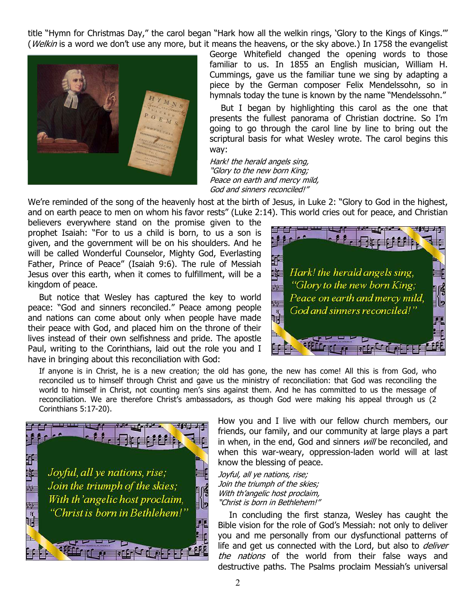title "Hymn for Christmas Day," the carol began "Hark how all the welkin rings, 'Glory to the Kings of Kings.'" (Welkin is a word we don't use any more, but it means the heavens, or the sky above.) In 1758 the evangelist



George Whitefield changed the opening words to those familiar to us. In 1855 an English musician, William H. Cummings, gave us the familiar tune we sing by adapting a piece by the German composer Felix Mendelssohn, so in hymnals today the tune is known by the name "Mendelssohn."

But I began by highlighting this carol as the one that presents the fullest panorama of Christian doctrine. So I'm going to go through the carol line by line to bring out the scriptural basis for what Wesley wrote. The carol begins this way:

Hark! the herald angels sing, "Glory to the new born King; Peace on earth and mercy mild, God and sinners reconciled!"

We're reminded of the song of the heavenly host at the birth of Jesus, in Luke 2: "Glory to God in the highest, and on earth peace to men on whom his favor rests" (Luke 2:14). This world cries out for peace, and Christian

believers everywhere stand on the promise given to the prophet Isaiah: "For to us a child is born, to us a son is given, and the government will be on his shoulders. And he will be called Wonderful Counselor, Mighty God, Everlasting Father, Prince of Peace" (Isaiah 9:6). The rule of Messiah Jesus over this earth, when it comes to fulfillment, will be a kingdom of peace.

But notice that Wesley has captured the key to world peace: "God and sinners reconciled." Peace among people and nations can come about only when people have made their peace with God, and placed him on the throne of their lives instead of their own selfishness and pride. The apostle Paul, writing to the Corinthians, laid out the role you and I have in bringing about this reconciliation with God:



If anyone is in Christ, he is a new creation; the old has gone, the new has come! All this is from God, who reconciled us to himself through Christ and gave us the ministry of reconciliation: that God was reconciling the world to himself in Christ, not counting men's sins against them. And he has committed to us the message of reconciliation. We are therefore Christ's ambassadors, as though God were making his appeal through us (2 Corinthians 5:17-20).



How you and I live with our fellow church members, our friends, our family, and our community at large plays a part in when, in the end, God and sinners will be reconciled, and when this war-weary, oppression-laden world will at last know the blessing of peace.

Joyful, all ye nations, rise; Join the triumph of the skies; With th'angelic host proclaim, "Christ is born in Bethlehem!"

In concluding the first stanza, Wesley has caught the Bible vision for the role of God's Messiah: not only to deliver you and me personally from our dysfunctional patterns of life and get us connected with the Lord, but also to *deliver* the nations of the world from their false ways and destructive paths. The Psalms proclaim Messiah's universal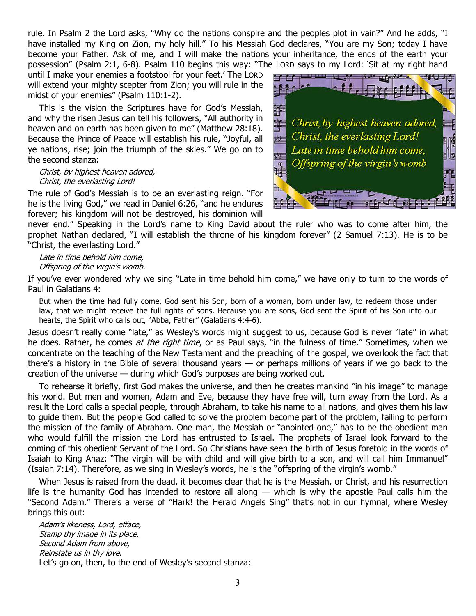rule. In Psalm 2 the Lord asks, "Why do the nations conspire and the peoples plot in vain?" And he adds, "I have installed my King on Zion, my holy hill." To his Messiah God declares, "You are my Son; today I have become your Father. Ask of me, and I will make the nations your inheritance, the ends of the earth your possession" (Psalm 2:1, 6-8). Psalm 110 begins this way: "The LORD says to my Lord: 'Sit at my right hand

until I make your enemies a footstool for your feet.' The LORD will extend your mighty scepter from Zion; you will rule in the midst of your enemies" (Psalm 110:1-2).

This is the vision the Scriptures have for God's Messiah, and why the risen Jesus can tell his followers, "All authority in heaven and on earth has been given to me" (Matthew 28:18). Because the Prince of Peace will establish his rule, "Joyful, all ye nations, rise; join the triumph of the skies." We go on to the second stanza:

## Christ, by highest heaven adored, Christ, the everlasting Lord!

The rule of God's Messiah is to be an everlasting reign. "For he is the living God," we read in Daniel 6:26, "and he endures forever; his kingdom will not be destroyed, his dominion will



never end." Speaking in the Lord's name to King David about the ruler who was to come after him, the prophet Nathan declared, "I will establish the throne of his kingdom forever" (2 Samuel 7:13). He is to be "Christ, the everlasting Lord."

Late in time behold him come, Offspring of the virgin's womb.

If you've ever wondered why we sing "Late in time behold him come," we have only to turn to the words of Paul in Galatians 4:

But when the time had fully come, God sent his Son, born of a woman, born under law, to redeem those under law, that we might receive the full rights of sons. Because you are sons, God sent the Spirit of his Son into our hearts, the Spirit who calls out, "Abba, Father" (Galatians 4:4-6).

Jesus doesn't really come "late," as Wesley's words might suggest to us, because God is never "late" in what he does. Rather, he comes at the right time, or as Paul says, "in the fulness of time." Sometimes, when we concentrate on the teaching of the New Testament and the preaching of the gospel, we overlook the fact that there's a history in the Bible of several thousand years — or perhaps millions of years if we go back to the creation of the universe — during which God's purposes are being worked out.

To rehearse it briefly, first God makes the universe, and then he creates mankind "in his image" to manage his world. But men and women, Adam and Eve, because they have free will, turn away from the Lord. As a result the Lord calls a special people, through Abraham, to take his name to all nations, and gives them his law to guide them. But the people God called to solve the problem become part of the problem, failing to perform the mission of the family of Abraham. One man, the Messiah or "anointed one," has to be the obedient man who would fulfill the mission the Lord has entrusted to Israel. The prophets of Israel look forward to the coming of this obedient Servant of the Lord. So Christians have seen the birth of Jesus foretold in the words of Isaiah to King Ahaz: "The virgin will be with child and will give birth to a son, and will call him Immanuel" (Isaiah 7:14). Therefore, as we sing in Wesley's words, he is the "offspring of the virgin's womb."

When Jesus is raised from the dead, it becomes clear that he is the Messiah, or Christ, and his resurrection life is the humanity God has intended to restore all along — which is why the apostle Paul calls him the "Second Adam." There's a verse of "Hark! the Herald Angels Sing" that's not in our hymnal, where Wesley brings this out:

Adam's likeness, Lord, efface, Stamp thy image in its place, Second Adam from above, Reinstate us in thy love. Let's go on, then, to the end of Wesley's second stanza: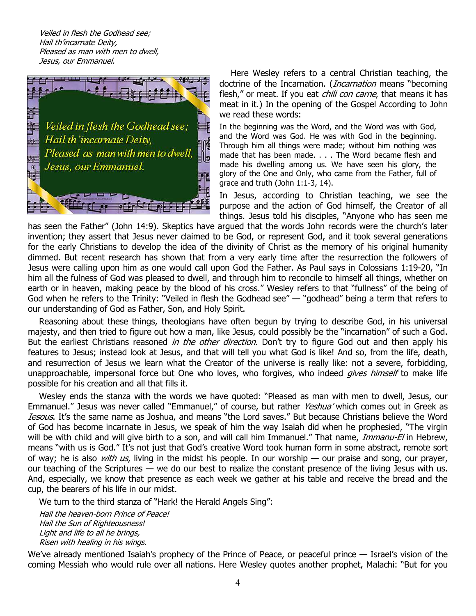Veiled in flesh the Godhead see; Hail th'incarnate Deity, Pleased as man with men to dwell, Jesus, our Emmanuel.



Here Wesley refers to a central Christian teaching, the doctrine of the Incarnation. (*Incarnation* means "becoming flesh," or meat. If you eat *chili con carne*, that means it has meat in it.) In the opening of the Gospel According to John we read these words:

In the beginning was the Word, and the Word was with God, and the Word was God. He was with God in the beginning. Through him all things were made; without him nothing was made that has been made. . . . The Word became flesh and made his dwelling among us. We have seen his glory, the glory of the One and Only, who came from the Father, full of grace and truth (John 1:1-3, 14).

In Jesus, according to Christian teaching, we see the purpose and the action of God himself, the Creator of all things. Jesus told his disciples, "Anyone who has seen me

has seen the Father" (John 14:9). Skeptics have argued that the words John records were the church's later invention; they assert that Jesus never claimed to be God, or represent God, and it took several generations for the early Christians to develop the idea of the divinity of Christ as the memory of his original humanity dimmed. But recent research has shown that from a very early time after the resurrection the followers of Jesus were calling upon him as one would call upon God the Father. As Paul says in Colossians 1:19-20, "In him all the fulness of God was pleased to dwell, and through him to reconcile to himself all things, whether on earth or in heaven, making peace by the blood of his cross." Wesley refers to that "fullness" of the being of God when he refers to the Trinity: "Veiled in flesh the Godhead see" — "godhead" being a term that refers to our understanding of God as Father, Son, and Holy Spirit.

Reasoning about these things, theologians have often begun by trying to describe God, in his universal majesty, and then tried to figure out how a man, like Jesus, could possibly be the "incarnation" of such a God. But the earliest Christians reasoned in the other direction. Don't try to figure God out and then apply his features to Jesus; instead look at Jesus, and that will tell you what God is like! And so, from the life, death, and resurrection of Jesus we learn what the Creator of the universe is really like: not a severe, forbidding, unapproachable, impersonal force but One who loves, who forgives, who indeed *gives himself* to make life possible for his creation and all that fills it.

Wesley ends the stanza with the words we have quoted: "Pleased as man with men to dwell, Jesus, our Emmanuel." Jesus was never called "Emmanuel," of course, but rather Yeshua' which comes out in Greek as Iesous. It's the same name as Joshua, and means "the Lord saves." But because Christians believe the Word of God has become incarnate in Jesus, we speak of him the way Isaiah did when he prophesied, "The virgin will be with child and will give birth to a son, and will call him Immanuel." That name, *Immanu-El* in Hebrew, means "with us is God." It's not just that God's creative Word took human form in some abstract, remote sort of way; he is also *with us*, living in the midst his people. In our worship — our praise and song, our prayer, our teaching of the Scriptures — we do our best to realize the constant presence of the living Jesus with us. And, especially, we know that presence as each week we gather at his table and receive the bread and the cup, the bearers of his life in our midst.

We turn to the third stanza of "Hark! the Herald Angels Sing":

Hail the heaven-born Prince of Peace! Hail the Sun of Righteousness! Light and life to all he brings, Risen with healing in his wings.

We've already mentioned Isaiah's prophecy of the Prince of Peace, or peaceful prince — Israel's vision of the coming Messiah who would rule over all nations. Here Wesley quotes another prophet, Malachi: "But for you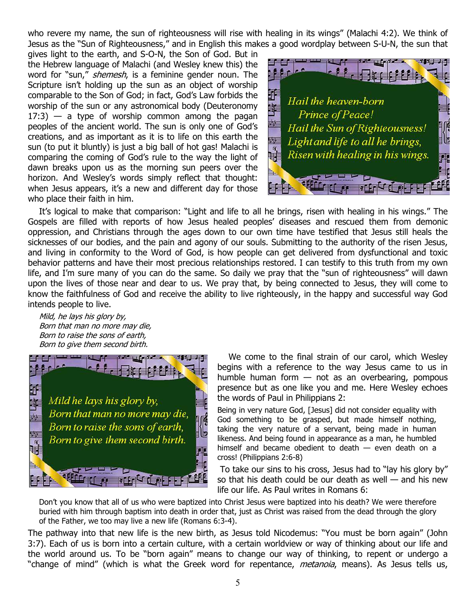who revere my name, the sun of righteousness will rise with healing in its wings" (Malachi 4:2). We think of Jesus as the "Sun of Righteousness," and in English this makes a good wordplay between S-U-N, the sun that

gives light to the earth, and S-O-N, the Son of God. But in the Hebrew language of Malachi (and Wesley knew this) the word for "sun," *shemesh*, is a feminine gender noun. The Scripture isn't holding up the sun as an object of worship comparable to the Son of God; in fact, God's Law forbids the worship of the sun or any astronomical body (Deuteronomy  $17:3$ ) — a type of worship common among the pagan peoples of the ancient world. The sun is only one of God's creations, and as important as it is to life on this earth the sun (to put it bluntly) is just a big ball of hot gas! Malachi is comparing the coming of God's rule to the way the light of dawn breaks upon us as the morning sun peers over the horizon. And Wesley's words simply reflect that thought: when Jesus appears, it's a new and different day for those who place their faith in him.



It's logical to make that comparison: "Light and life to all he brings, risen with healing in his wings." The Gospels are filled with reports of how Jesus healed peoples' diseases and rescued them from demonic oppression, and Christians through the ages down to our own time have testified that Jesus still heals the sicknesses of our bodies, and the pain and agony of our souls. Submitting to the authority of the risen Jesus, and living in conformity to the Word of God, is how people can get delivered from dysfunctional and toxic behavior patterns and have their most precious relationships restored. I can testify to this truth from my own life, and I'm sure many of you can do the same. So daily we pray that the "sun of righteousness" will dawn upon the lives of those near and dear to us. We pray that, by being connected to Jesus, they will come to know the faithfulness of God and receive the ability to live righteously, in the happy and successful way God intends people to live.

Mild, he lays his glory by, Born that man no more may die, Born to raise the sons of earth, Born to give them second birth.



We come to the final strain of our carol, which Wesley begins with a reference to the way Jesus came to us in humble human form — not as an overbearing, pompous presence but as one like you and me. Here Wesley echoes the words of Paul in Philippians 2:

Being in very nature God, [Jesus] did not consider equality with God something to be grasped, but made himself nothing, taking the very nature of a servant, being made in human likeness. And being found in appearance as a man, he humbled himself and became obedient to death  $-$  even death on a cross! (Philippians 2:6-8)

 To take our sins to his cross, Jesus had to "lay his glory by" so that his death could be our death as well  $-$  and his new life our life. As Paul writes in Romans 6:

Don't you know that all of us who were baptized into Christ Jesus were baptized into his death? We were therefore buried with him through baptism into death in order that, just as Christ was raised from the dead through the glory of the Father, we too may live a new life (Romans 6:3-4).

The pathway into that new life is the new birth, as Jesus told Nicodemus: "You must be born again" (John 3:7). Each of us is born into a certain culture, with a certain worldview or way of thinking about our life and the world around us. To be "born again" means to change our way of thinking, to repent or undergo a "change of mind" (which is what the Greek word for repentance, *metanoia*, means). As Jesus tells us,